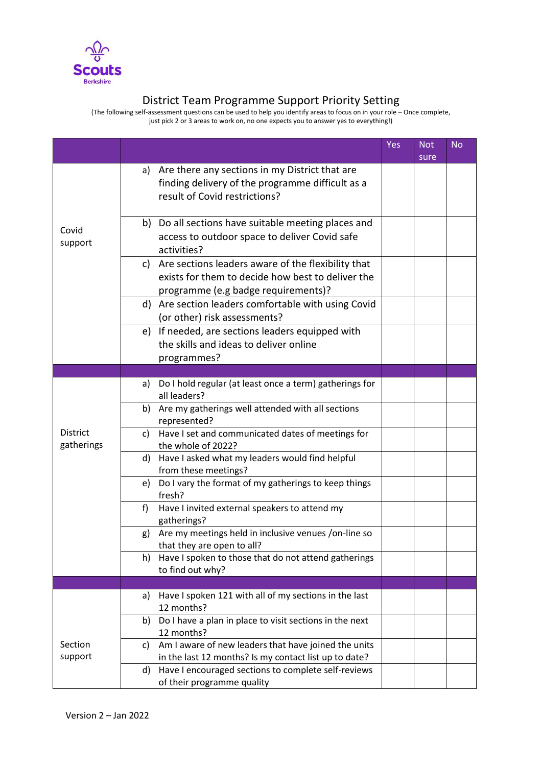

## District Team Programme Support Priority Setting

(The following self-assessment questions can be used to help you identify areas to focus on in your role – Once complete, just pick 2 or 3 areas to work on, no one expects you to answer yes to everything!)

|                               |                                                                                                                                                   | Yes | <b>Not</b><br>sure | <b>No</b> |
|-------------------------------|---------------------------------------------------------------------------------------------------------------------------------------------------|-----|--------------------|-----------|
|                               | a) Are there any sections in my District that are<br>finding delivery of the programme difficult as a<br>result of Covid restrictions?            |     |                    |           |
| Covid<br>support              | b) Do all sections have suitable meeting places and<br>access to outdoor space to deliver Covid safe<br>activities?                               |     |                    |           |
|                               | c) Are sections leaders aware of the flexibility that<br>exists for them to decide how best to deliver the<br>programme (e.g badge requirements)? |     |                    |           |
|                               | d) Are section leaders comfortable with using Covid<br>(or other) risk assessments?                                                               |     |                    |           |
|                               | e) If needed, are sections leaders equipped with<br>the skills and ideas to deliver online<br>programmes?                                         |     |                    |           |
|                               |                                                                                                                                                   |     |                    |           |
|                               | Do I hold regular (at least once a term) gatherings for<br>a)<br>all leaders?                                                                     |     |                    |           |
|                               | b) Are my gatherings well attended with all sections<br>represented?                                                                              |     |                    |           |
| <b>District</b><br>gatherings | Have I set and communicated dates of meetings for<br>c)<br>the whole of 2022?                                                                     |     |                    |           |
|                               | Have I asked what my leaders would find helpful<br>d)<br>from these meetings?                                                                     |     |                    |           |
|                               | Do I vary the format of my gatherings to keep things<br>e)<br>fresh?                                                                              |     |                    |           |
|                               | Have I invited external speakers to attend my<br>f<br>gatherings?                                                                                 |     |                    |           |
|                               | Are my meetings held in inclusive venues /on-line so<br>g)<br>that they are open to all?                                                          |     |                    |           |
|                               | Have I spoken to those that do not attend gatherings<br>h)<br>to find out why?                                                                    |     |                    |           |
|                               |                                                                                                                                                   |     |                    |           |
|                               | Have I spoken 121 with all of my sections in the last<br>a)<br>12 months?                                                                         |     |                    |           |
|                               | Do I have a plan in place to visit sections in the next<br>b)<br>12 months?                                                                       |     |                    |           |
| Section<br>support            | Am I aware of new leaders that have joined the units<br>C)<br>in the last 12 months? Is my contact list up to date?                               |     |                    |           |
|                               | Have I encouraged sections to complete self-reviews<br>d)<br>of their programme quality                                                           |     |                    |           |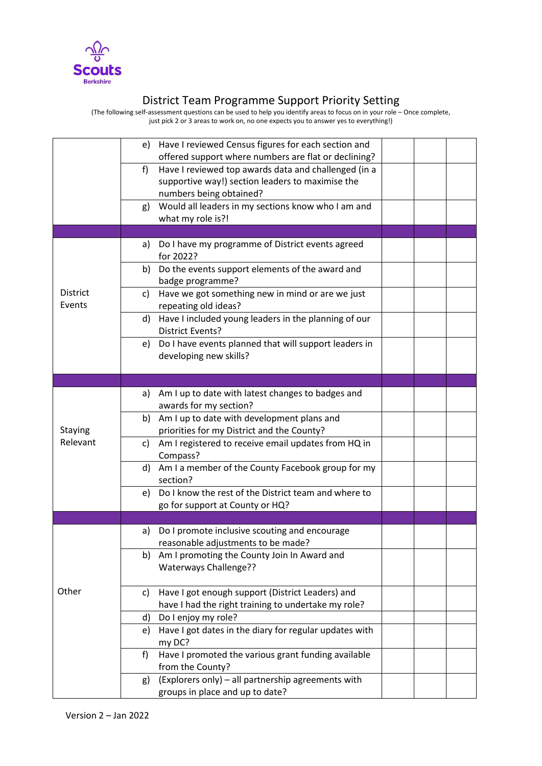

## District Team Programme Support Priority Setting

(The following self-assessment questions can be used to help you identify areas to focus on in your role – Once complete, just pick 2 or 3 areas to work on, no one expects you to answer yes to everything!)

|          | Have I reviewed Census figures for each section and<br>e)           |  |  |
|----------|---------------------------------------------------------------------|--|--|
|          | offered support where numbers are flat or declining?                |  |  |
|          | f)<br>Have I reviewed top awards data and challenged (in a          |  |  |
|          | supportive way!) section leaders to maximise the                    |  |  |
|          | numbers being obtained?                                             |  |  |
|          | Would all leaders in my sections know who I am and<br>g)            |  |  |
|          | what my role is?!                                                   |  |  |
|          |                                                                     |  |  |
|          | Do I have my programme of District events agreed<br>a)<br>for 2022? |  |  |
|          | Do the events support elements of the award and<br>b)               |  |  |
|          | badge programme?                                                    |  |  |
| District | Have we got something new in mind or are we just<br>c)              |  |  |
| Events   | repeating old ideas?                                                |  |  |
|          | Have I included young leaders in the planning of our<br>d)          |  |  |
|          | <b>District Events?</b>                                             |  |  |
|          | Do I have events planned that will support leaders in<br>e)         |  |  |
|          | developing new skills?                                              |  |  |
|          |                                                                     |  |  |
|          |                                                                     |  |  |
|          | Am I up to date with latest changes to badges and<br>a)             |  |  |
|          | awards for my section?                                              |  |  |
|          | Am I up to date with development plans and<br>b)                    |  |  |
| Staying  | priorities for my District and the County?                          |  |  |
| Relevant | Am I registered to receive email updates from HQ in<br>C)           |  |  |
|          | Compass?                                                            |  |  |
|          | Am I a member of the County Facebook group for my<br>d)             |  |  |
|          | section?                                                            |  |  |
|          | Do I know the rest of the District team and where to<br>e)          |  |  |
|          | go for support at County or HQ?                                     |  |  |
|          |                                                                     |  |  |
|          | Do I promote inclusive scouting and encourage<br>a)                 |  |  |
|          | reasonable adjustments to be made?                                  |  |  |
|          | Am I promoting the County Join In Award and<br>b)                   |  |  |
|          | Waterways Challenge??                                               |  |  |
| Other    | Have I got enough support (District Leaders) and<br>C)              |  |  |
|          | have I had the right training to undertake my role?                 |  |  |
|          | Do I enjoy my role?<br>d)                                           |  |  |
|          | Have I got dates in the diary for regular updates with<br>e)        |  |  |
|          | my DC?                                                              |  |  |
|          | Have I promoted the various grant funding available<br>f)           |  |  |
|          | from the County?                                                    |  |  |
|          | (Explorers only) - all partnership agreements with<br>g)            |  |  |
|          | groups in place and up to date?                                     |  |  |